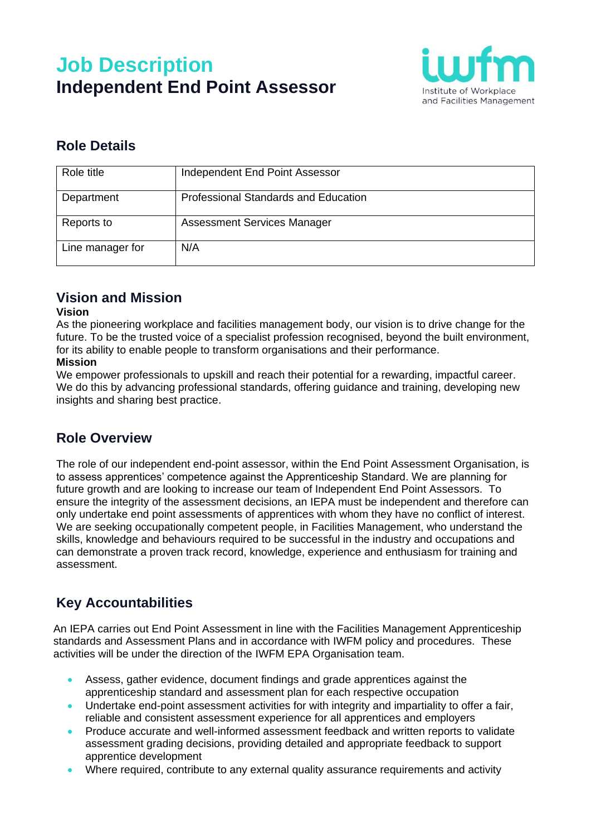# **Job Description Independent End Point Assessor**



### **Role Details**

| Role title       | Independent End Point Assessor       |
|------------------|--------------------------------------|
| Department       | Professional Standards and Education |
| Reports to       | Assessment Services Manager          |
| Line manager for | N/A                                  |

#### **Vision and Mission**

#### **Vision**

As the pioneering workplace and facilities management body, our vision is to drive change for the future. To be the trusted voice of a specialist profession recognised, beyond the built environment, for its ability to enable people to transform organisations and their performance.

#### **Mission**

We empower professionals to upskill and reach their potential for a rewarding, impactful career. We do this by advancing professional standards, offering guidance and training, developing new insights and sharing best practice.

#### **Role Overview**

The role of our independent end-point assessor, within the End Point Assessment Organisation, is to assess apprentices' competence against the Apprenticeship Standard. We are planning for future growth and are looking to increase our team of Independent End Point Assessors. To ensure the integrity of the assessment decisions, an IEPA must be independent and therefore can only undertake end point assessments of apprentices with whom they have no conflict of interest. We are seeking occupationally competent people, in Facilities Management, who understand the skills, knowledge and behaviours required to be successful in the industry and occupations and can demonstrate a proven track record, knowledge, experience and enthusiasm for training and assessment.

### **Key Accountabilities**

An IEPA carries out End Point Assessment in line with the Facilities Management Apprenticeship standards and Assessment Plans and in accordance with IWFM policy and procedures. These activities will be under the direction of the IWFM EPA Organisation team.

- Assess, gather evidence, document findings and grade apprentices against the apprenticeship standard and assessment plan for each respective occupation
- Undertake end-point assessment activities for with integrity and impartiality to offer a fair, reliable and consistent assessment experience for all apprentices and employers
- Produce accurate and well-informed assessment feedback and written reports to validate assessment grading decisions, providing detailed and appropriate feedback to support apprentice development
- Where required, contribute to any external quality assurance requirements and activity